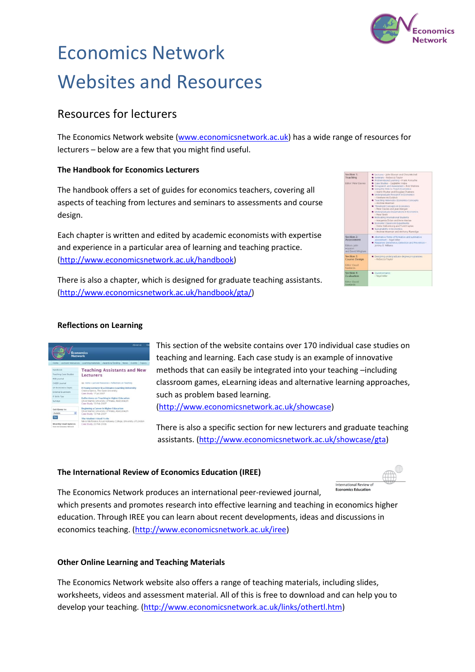

# Economics Network Websites and Resources

# Resources for lecturers

The Economics Network website [\(www.economicsnetwork.ac.uk\)](http://www.economicsnetwork.ac.uk/) has a wide range of resources for lecturers – below are a few that you might find useful.

### **The Handbook for Economics Lecturers**

The handbook offers a set of guides for economics teachers, covering all aspects of teaching from lectures and seminars to assessments and course design.

Each chapter is written and edited by academic economists with expertise and experience in a particular area of learning and teaching practice. [\(http://www.economicsnetwork.ac.uk/handbook\)](http://www.economicsnetwork.ac.uk/handbook)



There is also a chapter, which is designed for graduate teaching assistants. [\(http://www.economicsnetwork.ac.uk/handbook/gta/\)](http://www.economicsnetwork.ac.uk/handbook/gta/)

### **Reflections on Learning**



This section of the website contains over 170 individual case studies on teaching and learning. Each case study is an example of innovative methods that can easily be integrated into your teaching –including classroom games, eLearning ideas and alternative learning approaches, such as problem based learning. [\(http://www.economicsnetwork.ac.uk/showcase\)](http://www.economicsnetwork.ac.uk/showcase)

There is also a specific section for new lecturers and graduate teaching assistants. [\(http://www.economicsnetwork.ac.uk/showcase/gta\)](http://www.economicsnetwork.ac.uk/showcase/gta)

#### **The International Review of Economics Education (IREE)**



The Economics Network produces an international peer-reviewed journal, which presents and promotes research into effective learning and teaching in economics higher education. Through IREE you can learn about recent developments, ideas and discussions in economics teaching. [\(http://www.economicsnetwork.ac.uk/iree\)](http://www.economicsnetwork.ac.uk/iree)

#### **Other Online Learning and Teaching Materials**

The Economics Network website also offers a range of teaching materials, including slides, worksheets, videos and assessment material. All of this is free to download and can help you to develop your teaching. [\(http://www.economicsnetwork.ac.uk/links/othertl.htm\)](http://www.economicsnetwork.ac.uk/links/othertl.htm)